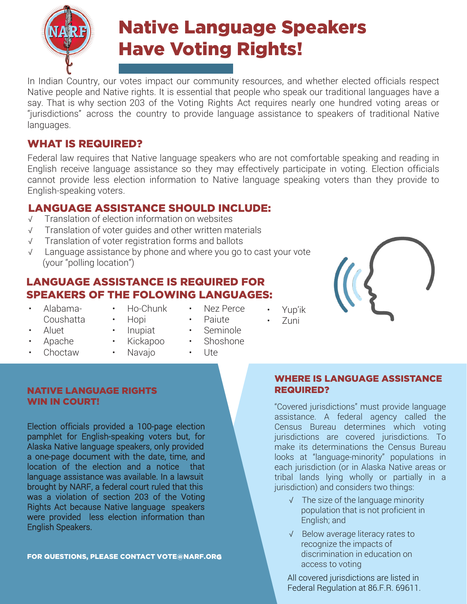

# Native Language Speakers Have Voting Rights!

In Indian Country, our votes impact our community resources, and whether elected officials respect Native people and Native rights. It is essential that people who speak our traditional languages have a say. That is why section 203 of the Voting Rights Act requires nearly one hundred voting areas or "jurisdictions" across the country to provide language assistance to speakers of traditional Native languages.

# WHAT IS REQUIRED?

Federal law requires that Native language speakers who are not comfortable speaking and reading in English receive language assistance so they may effectively participate in voting. Election officials cannot provide less election information to Native language speaking voters than they provide to English-speaking voters.

# LANGUAGE ASSISTANCE SHOULD INCLUDE:

- √ Translation of election information on websites
- √ Translation of voter guides and other written materials
- √ Translation of voter registration forms and ballots
- √ Language assistance by phone and where you go to cast your vote (your "polling location")

# LANGUAGE ASSISTANCE IS REQUIRED FOR SPEAKERS OF THE FOLOWING LANGUAGES:

• Alabama-Coushatta

• Choctaw

• Ho-Chunk • Hopi

• Inupiat

• Nez Perce

• Seminole

- Paiute
- Yup'ik • Zuni



- Aluet
- Apache
- Kickapoo • Navajo
- Shoshone
- Ute

#### NATIVE LANGUAGE RIGHTS WIN IN COURT!

Election officials provided a 100-page election pamphlet for English-speaking voters but, for Alaska Native language speakers, only provided a one-page document with the date, time, and location of the election and a notice that language assistance was available. In a lawsuit brought by NARF, a federal court ruled that this was a violation of section 203 of the Voting Rights Act because Native language speakers were provided less election information than English Speakers.

FOR QUESTIONS, PLEASE CONTACT VOTE[@NARF.OR](mailto:VOTE@NARF.ORG)G

# WHERE IS LANGUAGE ASSISTANCE REQUIRED?

"Covered jurisdictions" must provide language assistance. A federal agency called the Census Bureau determines which voting jurisdictions are covered jurisdictions. To make its determinations the Census Bureau looks at "language-minority" populations in each jurisdiction (or in Alaska Native areas or tribal lands lying wholly or partially in a jurisdiction) and considers two things:

- √ The size of the language minority population that is not proficient in English; and
- √ Below average literacy rates to recognize the impacts of discrimination in education on access to voting

All covered jurisdictions are listed in Federal Regulation at 86.F.R. 69611.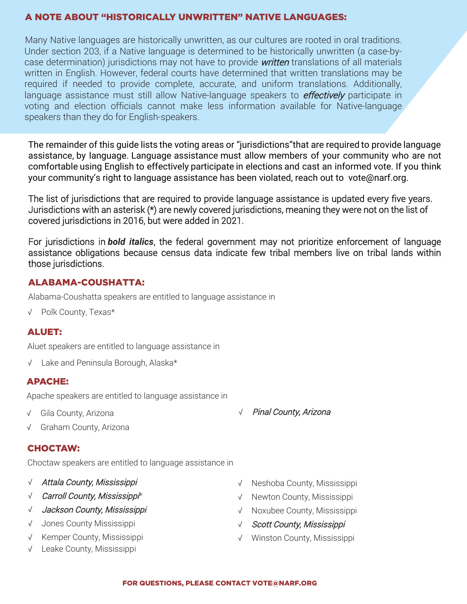#### A NOTE ABOUT "HISTORICALLY UNWRITTEN" NATIVE LANGUAGES:

Many Native languages are historically unwritten, as our cultures are rooted in oral traditions. Under section 203, if a Native language is determined to be historically unwritten (a case-bycase determination) jurisdictions may not have to provide *written* translations of all materials written in English. However, federal courts have determined that written translations may be required if needed to provide complete, accurate, and uniform translations. Additionally, language assistance must still allow Native-language speakers to *effectively* participate in voting and election officials cannot make less information available for Native-language speakers than they do for English-speakers.

The remainder of this guide lists the voting areas or "jurisdictions"that are required to provide language assistance, by language. Language assistance must allow members of your community who are not comfortable using English to effectively participate in elections and cast an informed vote. If you think your community's right to language assistance has been violated, reach out to [vote@narf.org.](mailto:vote@narf.org.The)

[The lis](mailto:vote@narf.org.The)t of jurisdictions that are required to provide language assistance is updated every five years. Jurisdictions with an asterisk (\*) are newly covered jurisdictions, meaning they were not on the list of covered jurisdictions in 2016, but were added in 2021.

For jurisdictions in *bold italics*, the federal government may not prioritize enforcement of language assistance obligations because census data indicate few tribal members live on tribal lands within those jurisdictions.

# ALABAMA-COUSHATTA:

Alabama-Coushatta speakers are entitled to language assistance in

√ Polk County, Texas\*

#### ALUET:

Aluet speakers are entitled to language assistance in

√ Lake and Peninsula Borough, Alaska\*

#### APACHE:

Apache speakers are entitled to language assistance in

√ Gila County, Arizona

√ Pinal County, Arizona

√ Graham County, Arizona

#### CHOCTAW:

Choctaw speakers are entitled to language assistance in

- √ Attala County, Mississippi
- √ Carroll County, Mississippi\*
- √ Jackson County, Mississippi
- √ Jones County Mississippi
- √ Kemper County, Mississippi
- √ Leake County, Mississippi
- √ Neshoba County, Mississippi
- √ Newton County, Mississippi
- √ Noxubee County, Mississippi
- √ Scott County, Mississippi
- √ Winston County, Mississippi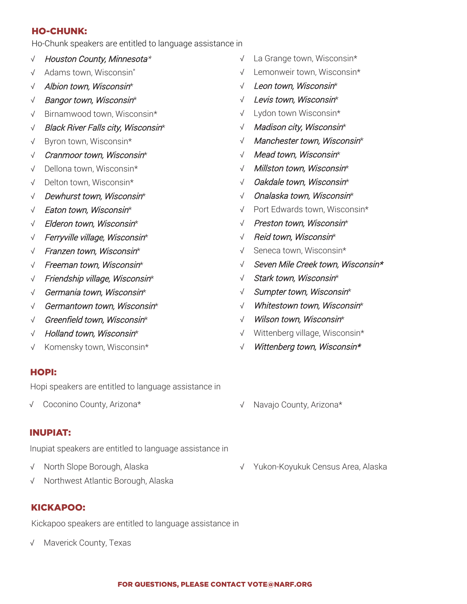#### HO-CHUNK:

Ho-Chunk speakers are entitled to language assistance in

- √ Houston County, Minnesota\*
- √ Adams town, Wisconsin"
- √ Albion town, Wisconsin\*
- √ Bangor town, Wisconsin\*
- √ Birnamwood town, Wisconsin\*
- √ Black River Falls city, Wisconsin\*
- √ Byron town, Wisconsin\*
- √ Cranmoor town, Wisconsin\*
- √ Dellona town, Wisconsin\*
- √ Delton town, Wisconsin\*
- √ Dewhurst town, Wisconsin\*
- √ Eaton town, Wisconsin\*
- √ Elderon town, Wisconsin\*
- √ Ferryville village, Wisconsin\*
- √ Franzen town, Wisconsin\*
- √ Freeman town, Wisconsin\*
- √ Friendship village, Wisconsin\*
- √ Germania town, Wisconsin\*
- √ Germantown town, Wisconsin\*
- √ Greenfield town, Wisconsin\*
- √ Holland town, Wisconsin\*
- √ Komensky town, Wisconsin\*

#### HOPI:

Hopi speakers are entitled to language assistance in

√ Coconino County, Arizona\*

#### INUPIAT:

Inupiat speakers are entitled to language assistance in

- √ North Slope Borough, Alaska
- √ Northwest Atlantic Borough, Alaska

# KICKAPOO:

Kickapoo speakers are entitled to language assistance in

√ Maverick County, Texas

- La Grange town, Wisconsin\*
- √ Lemonweir town, Wisconsin\*
- √ Leon town, Wisconsin\*
- √ Levis town, Wisconsin\*
- √ Lydon town Wisconsin\*
- √ Madison city, Wisconsin\*
- √ Manchester town, Wisconsin\*
- √ Mead town, Wisconsin\*
- √ Millston town, Wisconsin\*
- √ Oakdale town, Wisconsin\*
- √ Onalaska town, Wisconsin\*
- √ Port Edwards town, Wisconsin\*
- √ Preston town, Wisconsin\*
- √ Reid town, Wisconsin\*
- √ Seneca town, Wisconsin\*
- √ Seven Mile Creek town, Wisconsin\*
- √ Stark town, Wisconsin\*
- √ Sumpter town, Wisconsin\*
- √ Whitestown town, Wisconsin\*
- √ Wilson town, Wisconsin\*
- √ Wittenberg village, Wisconsin\*
- √ Wittenberg town, Wisconsin\*
- √ Navajo County, Arizona\*
- √ Yukon-Koyukuk Census Area, Alaska